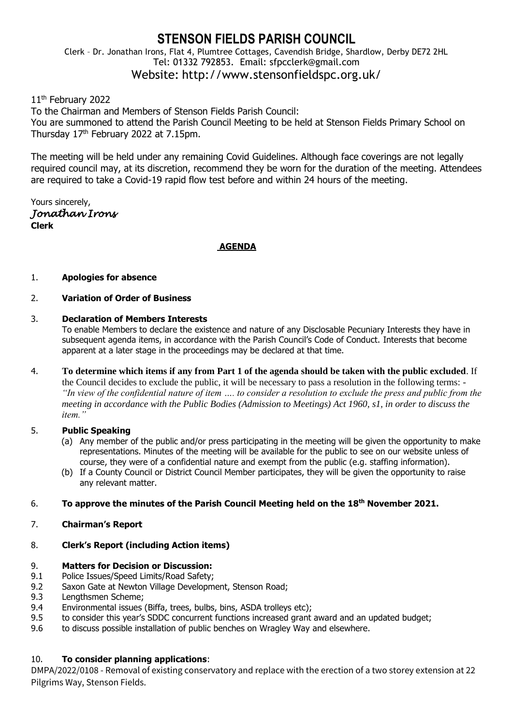# **STENSON FIELDS PARISH COUNCIL**

# Clerk – Dr. Jonathan Irons, Flat 4, Plumtree Cottages, Cavendish Bridge, Shardlow, Derby DE72 2HL Tel: 01332 792853. Email: sfpcclerk@gmail.com Website: http://www.stensonfieldspc.org.uk/

# 11<sup>th</sup> February 2022

To the Chairman and Members of Stenson Fields Parish Council: You are summoned to attend the Parish Council Meeting to be held at Stenson Fields Primary School on Thursday 17th February 2022 at 7.15pm.

The meeting will be held under any remaining Covid Guidelines. Although face coverings are not legally required council may, at its discretion, recommend they be worn for the duration of the meeting. Attendees are required to take a Covid-19 rapid flow test before and within 24 hours of the meeting.

Yours sincerely, *Jonathan Irons*  **Clerk**

## **AGENDA**

## 1. **Apologies for absence**

## 2. **Variation of Order of Business**

## 3. **Declaration of Members Interests**

To enable Members to declare the existence and nature of any Disclosable Pecuniary Interests they have in subsequent agenda items, in accordance with the Parish Council's Code of Conduct. Interests that become apparent at a later stage in the proceedings may be declared at that time.

4. **To determine which items if any from Part 1 of the agenda should be taken with the public excluded**. If the Council decides to exclude the public, it will be necessary to pass a resolution in the following terms: - *"In view of the confidential nature of item …. to consider a resolution to exclude the press and public from the meeting in accordance with the Public Bodies (Admission to Meetings) Act 1960, s1, in order to discuss the item."* 

## 5. **Public Speaking**

- (a) Any member of the public and/or press participating in the meeting will be given the opportunity to make representations. Minutes of the meeting will be available for the public to see on our website unless of course, they were of a confidential nature and exempt from the public (e.g. staffing information).
- (b) If a County Council or District Council Member participates, they will be given the opportunity to raise any relevant matter.

#### 6. **To approve the minutes of the Parish Council Meeting held on the 18 th November 2021.**

7. **Chairman's Report**

# 8. **Clerk's Report (including Action items)**

# 9. **Matters for Decision or Discussion:**

- 9.1 Police Issues/Speed Limits/Road Safety;
- 9.2 Saxon Gate at Newton Village Development, Stenson Road;
- 9.3 Lengthsmen Scheme;
- 9.4 Environmental issues (Biffa, trees, bulbs, bins, ASDA trolleys etc);
- 9.5 to consider this year's SDDC concurrent functions increased grant award and an updated budget;
- 9.6 to discuss possible installation of public benches on Wragley Way and elsewhere.

# 10. **To consider planning applications**:

DMPA/2022/0108 - Removal of existing conservatory and replace with the erection of a two storey extension at 22 Pilgrims Way, Stenson Fields.